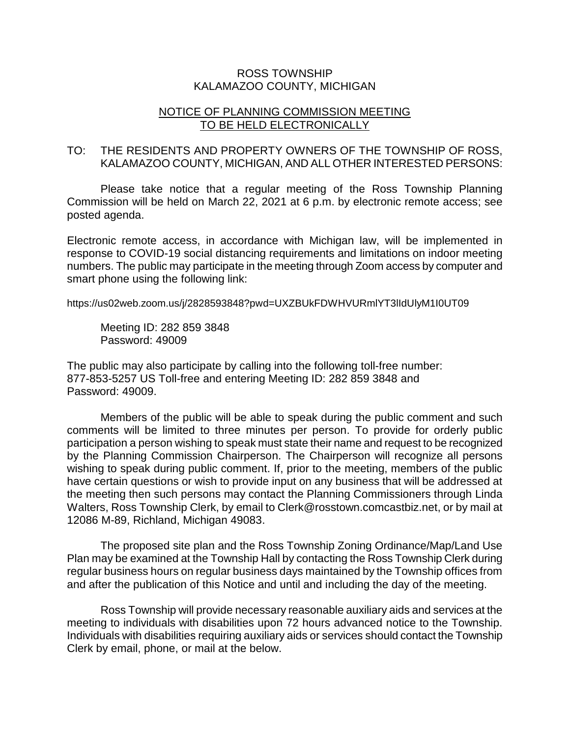## ROSS TOWNSHIP KALAMAZOO COUNTY, MICHIGAN

## NOTICE OF PLANNING COMMISSION MEETING TO BE HELD ELECTRONICALLY

## TO: THE RESIDENTS AND PROPERTY OWNERS OF THE TOWNSHIP OF ROSS, KALAMAZOO COUNTY, MICHIGAN, AND ALL OTHER INTERESTED PERSONS:

Please take notice that a regular meeting of the Ross Township Planning Commission will be held on March 22, 2021 at 6 p.m. by electronic remote access; see posted agenda.

Electronic remote access, in accordance with Michigan law, will be implemented in response to COVID-19 social distancing requirements and limitations on indoor meeting numbers. The public may participate in the meeting through Zoom access by computer and smart phone using the following link:

https://us02web.zoom.us/j/2828593848?pwd=UXZBUkFDWHVURmlYT3lIdUlyM1I0UT09

Meeting ID: 282 859 3848 Password: 49009

The public may also participate by calling into the following toll-free number: 877-853-5257 US Toll-free and entering Meeting ID: 282 859 3848 and Password: 49009.

Members of the public will be able to speak during the public comment and such comments will be limited to three minutes per person. To provide for orderly public participation a person wishing to speak must state their name and request to be recognized by the Planning Commission Chairperson. The Chairperson will recognize all persons wishing to speak during public comment. If, prior to the meeting, members of the public have certain questions or wish to provide input on any business that will be addressed at the meeting then such persons may contact the Planning Commissioners through Linda Walters, Ross Township Clerk, by email to Clerk@rosstown.comcastbiz.net, or by mail at 12086 M-89, Richland, Michigan 49083.

The proposed site plan and the Ross Township Zoning Ordinance/Map/Land Use Plan may be examined at the Township Hall by contacting the Ross Township Clerk during regular business hours on regular business days maintained by the Township offices from and after the publication of this Notice and until and including the day of the meeting.

Ross Township will provide necessary reasonable auxiliary aids and services at the meeting to individuals with disabilities upon 72 hours advanced notice to the Township. Individuals with disabilities requiring auxiliary aids or services should contact the Township Clerk by email, phone, or mail at the below.